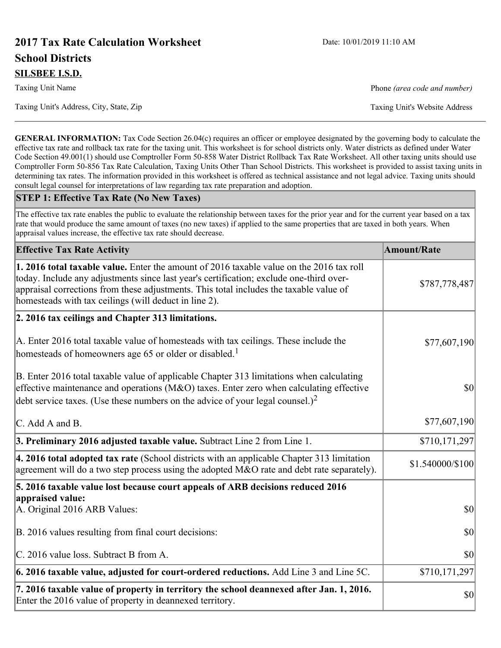# **2017 Tax Rate Calculation Worksheet** Date: 10/01/2019 11:10 AM **School Districts SILSBEE I.S.D.**

Taxing Unit's Address, City, State, Zip Taxing Unit's Website Address

Taxing Unit Name **Phone** *(area code and number)* Phone *(area code and number)* 

**GENERAL INFORMATION:** Tax Code Section 26.04(c) requires an officer or employee designated by the governing body to calculate the effective tax rate and rollback tax rate for the taxing unit. This worksheet is for school districts only. Water districts as defined under Water Code Section 49.001(1) should use Comptroller Form 50-858 Water District Rollback Tax Rate Worksheet. All other taxing units should use Comptroller Form 50-856 Tax Rate Calculation, Taxing Units Other Than School Districts. This worksheet is provided to assist taxing units in determining tax rates. The information provided in this worksheet is offered as technical assistance and not legal advice. Taxing units should consult legal counsel for interpretations of law regarding tax rate preparation and adoption.

#### **STEP 1: Effective Tax Rate (No New Taxes)**

The effective tax rate enables the public to evaluate the relationship between taxes for the prior year and for the current year based on a tax rate that would produce the same amount of taxes (no new taxes) if applied to the same properties that are taxed in both years. When appraisal values increase, the effective tax rate should decrease.

| <b>Effective Tax Rate Activity</b>                                                                                                                                                                                                                                                                                                     | <b>Amount/Rate</b> |
|----------------------------------------------------------------------------------------------------------------------------------------------------------------------------------------------------------------------------------------------------------------------------------------------------------------------------------------|--------------------|
| 1. 2016 total taxable value. Enter the amount of 2016 taxable value on the 2016 tax roll<br>today. Include any adjustments since last year's certification; exclude one-third over-<br>appraisal corrections from these adjustments. This total includes the taxable value of<br>homesteads with tax ceilings (will deduct in line 2). | \$787,778,487      |
| 2. 2016 tax ceilings and Chapter 313 limitations.                                                                                                                                                                                                                                                                                      |                    |
| A. Enter 2016 total taxable value of homesteads with tax ceilings. These include the<br>homesteads of homeowners age 65 or older or disabled. <sup>1</sup>                                                                                                                                                                             | \$77,607,190       |
| B. Enter 2016 total taxable value of applicable Chapter 313 limitations when calculating<br>effective maintenance and operations ( $M&O$ ) taxes. Enter zero when calculating effective<br>debt service taxes. (Use these numbers on the advice of your legal counsel.) <sup>2</sup>                                                   | $ 10\rangle$       |
| C. Add A and B.                                                                                                                                                                                                                                                                                                                        | \$77,607,190       |
| 3. Preliminary 2016 adjusted taxable value. Subtract Line 2 from Line 1.                                                                                                                                                                                                                                                               | \$710,171,297      |
| $\vert$ 4. 2016 total adopted tax rate (School districts with an applicable Chapter 313 limitation<br>agreement will do a two step process using the adopted M&O rate and debt rate separately).                                                                                                                                       | \$1.540000/\$100   |
| 5. 2016 taxable value lost because court appeals of ARB decisions reduced 2016                                                                                                                                                                                                                                                         |                    |
| appraised value:<br>A. Original 2016 ARB Values:                                                                                                                                                                                                                                                                                       | $ 10\rangle$       |
| B. 2016 values resulting from final court decisions:                                                                                                                                                                                                                                                                                   | 30                 |
| C. 2016 value loss. Subtract B from A.                                                                                                                                                                                                                                                                                                 | 30                 |
| $\vert$ 6. 2016 taxable value, adjusted for court-ordered reductions. Add Line 3 and Line 5C.                                                                                                                                                                                                                                          | \$710,171,297      |
| 7. 2016 taxable value of property in territory the school deannexed after Jan. 1, 2016.<br>Enter the 2016 value of property in deannexed territory.                                                                                                                                                                                    | \$0                |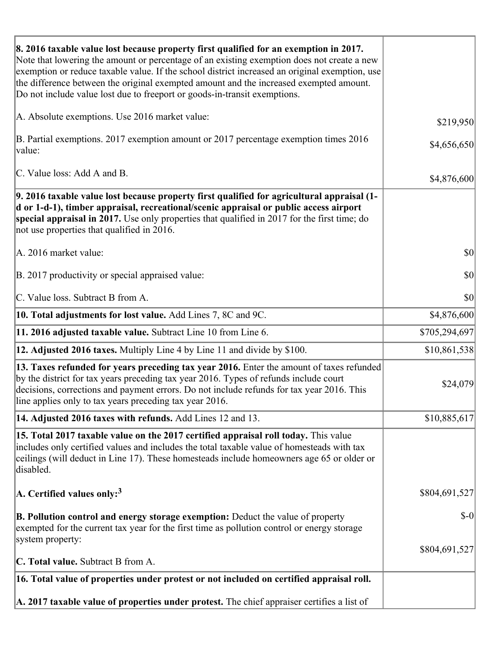| 8. 2016 taxable value lost because property first qualified for an exemption in 2017.<br>Note that lowering the amount or percentage of an existing exemption does not create a new<br>exemption or reduce taxable value. If the school district increased an original exemption, use<br>the difference between the original exempted amount and the increased exempted amount.<br>Do not include value lost due to freeport or goods-in-transit exemptions. |               |
|--------------------------------------------------------------------------------------------------------------------------------------------------------------------------------------------------------------------------------------------------------------------------------------------------------------------------------------------------------------------------------------------------------------------------------------------------------------|---------------|
| A. Absolute exemptions. Use 2016 market value:                                                                                                                                                                                                                                                                                                                                                                                                               | \$219,950     |
| B. Partial exemptions. 2017 exemption amount or 2017 percentage exemption times 2016<br>value:                                                                                                                                                                                                                                                                                                                                                               | \$4,656,650   |
| C. Value loss: Add A and B.                                                                                                                                                                                                                                                                                                                                                                                                                                  | \$4,876,600   |
| 9. 2016 taxable value lost because property first qualified for agricultural appraisal (1-<br>d or 1-d-1), timber appraisal, recreational/scenic appraisal or public access airport<br>special appraisal in 2017. Use only properties that qualified in 2017 for the first time; do<br>not use properties that qualified in 2016.                                                                                                                            |               |
| A. 2016 market value:                                                                                                                                                                                                                                                                                                                                                                                                                                        | \$0           |
| B. 2017 productivity or special appraised value:                                                                                                                                                                                                                                                                                                                                                                                                             | \$0           |
| C. Value loss. Subtract B from A.                                                                                                                                                                                                                                                                                                                                                                                                                            | \$0           |
| 10. Total adjustments for lost value. Add Lines 7, 8C and 9C.                                                                                                                                                                                                                                                                                                                                                                                                | \$4,876,600   |
| 11. 2016 adjusted taxable value. Subtract Line 10 from Line 6.                                                                                                                                                                                                                                                                                                                                                                                               | \$705,294,697 |
| <b>12. Adjusted 2016 taxes.</b> Multiply Line 4 by Line 11 and divide by \$100.                                                                                                                                                                                                                                                                                                                                                                              | \$10,861,538  |
| [13. Taxes refunded for years preceding tax year 2016. Enter the amount of taxes refunded]<br>by the district for tax years preceding tax year 2016. Types of refunds include court<br>decisions, corrections and payment errors. Do not include refunds for tax year 2016. This<br>line applies only to tax years preceding tax year 2016.                                                                                                                  | \$24,079      |
| 14. Adjusted 2016 taxes with refunds. Add Lines 12 and 13.                                                                                                                                                                                                                                                                                                                                                                                                   | \$10,885,617  |
| 15. Total 2017 taxable value on the 2017 certified appraisal roll today. This value<br>includes only certified values and includes the total taxable value of homesteads with tax<br>ceilings (will deduct in Line 17). These homesteads include homeowners age 65 or older or<br>disabled.                                                                                                                                                                  |               |
| A. Certified values only: <sup>3</sup>                                                                                                                                                                                                                                                                                                                                                                                                                       | \$804,691,527 |
| <b>B. Pollution control and energy storage exemption:</b> Deduct the value of property<br>exempted for the current tax year for the first time as pollution control or energy storage<br>system property:                                                                                                                                                                                                                                                    | $\delta$ -0   |
|                                                                                                                                                                                                                                                                                                                                                                                                                                                              | \$804,691,527 |
| <b>C. Total value.</b> Subtract B from A.                                                                                                                                                                                                                                                                                                                                                                                                                    |               |
| 16. Total value of properties under protest or not included on certified appraisal roll.                                                                                                                                                                                                                                                                                                                                                                     |               |
| A. 2017 taxable value of properties under protest. The chief appraiser certifies a list of                                                                                                                                                                                                                                                                                                                                                                   |               |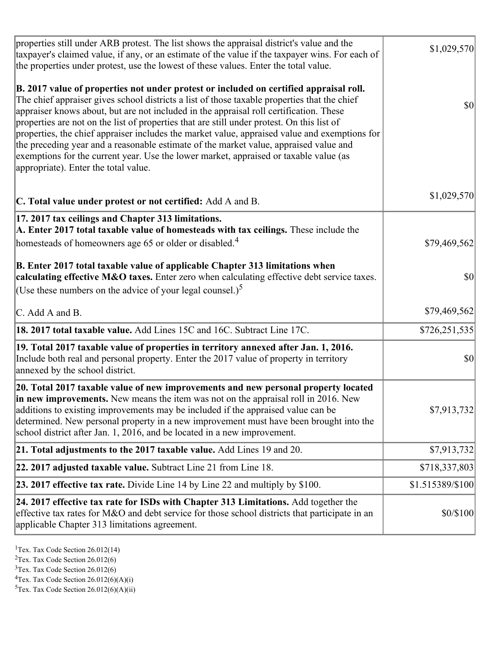| properties still under ARB protest. The list shows the appraisal district's value and the<br>taxpayer's claimed value, if any, or an estimate of the value if the taxpayer wins. For each of<br>the properties under protest, use the lowest of these values. Enter the total value.                                                                                                                                                                                                                                                                                                                                                                                                                      | \$1,029,570      |
|-----------------------------------------------------------------------------------------------------------------------------------------------------------------------------------------------------------------------------------------------------------------------------------------------------------------------------------------------------------------------------------------------------------------------------------------------------------------------------------------------------------------------------------------------------------------------------------------------------------------------------------------------------------------------------------------------------------|------------------|
| B. 2017 value of properties not under protest or included on certified appraisal roll.<br>The chief appraiser gives school districts a list of those taxable properties that the chief<br>appraiser knows about, but are not included in the appraisal roll certification. These<br>properties are not on the list of properties that are still under protest. On this list of<br>properties, the chief appraiser includes the market value, appraised value and exemptions for<br>the preceding year and a reasonable estimate of the market value, appraised value and<br>exemptions for the current year. Use the lower market, appraised or taxable value (as<br>appropriate). Enter the total value. | <b>\$0</b>       |
| C. Total value under protest or not certified: Add A and B.                                                                                                                                                                                                                                                                                                                                                                                                                                                                                                                                                                                                                                               | \$1,029,570      |
| 17. 2017 tax ceilings and Chapter 313 limitations.<br>A. Enter 2017 total taxable value of homesteads with tax ceilings. These include the<br>homesteads of homeowners age 65 or older or disabled. <sup>4</sup>                                                                                                                                                                                                                                                                                                                                                                                                                                                                                          | \$79,469,562     |
| B. Enter 2017 total taxable value of applicable Chapter 313 limitations when<br>calculating effective M&O taxes. Enter zero when calculating effective debt service taxes.<br>(Use these numbers on the advice of your legal counsel.) <sup>5</sup>                                                                                                                                                                                                                                                                                                                                                                                                                                                       | $ 10\rangle$     |
| C. Add A and B.                                                                                                                                                                                                                                                                                                                                                                                                                                                                                                                                                                                                                                                                                           | \$79,469,562     |
| 18. 2017 total taxable value. Add Lines 15C and 16C. Subtract Line 17C.                                                                                                                                                                                                                                                                                                                                                                                                                                                                                                                                                                                                                                   | \$726,251,535    |
| 19. Total 2017 taxable value of properties in territory annexed after Jan. 1, 2016.<br>Include both real and personal property. Enter the 2017 value of property in territory<br>annexed by the school district.                                                                                                                                                                                                                                                                                                                                                                                                                                                                                          | \$0              |
| 20. Total 2017 taxable value of new improvements and new personal property located<br>in new improvements. New means the item was not on the appraisal roll in 2016. New<br>additions to existing improvements may be included if the appraised value can be<br>determined. New personal property in a new improvement must have been brought into the<br>school district after Jan. 1, 2016, and be located in a new improvement.                                                                                                                                                                                                                                                                        | \$7,913,732      |
| 21. Total adjustments to the 2017 taxable value. Add Lines 19 and 20.                                                                                                                                                                                                                                                                                                                                                                                                                                                                                                                                                                                                                                     | \$7,913,732      |
| $ 22.2017$ adjusted taxable value. Subtract Line 21 from Line 18.                                                                                                                                                                                                                                                                                                                                                                                                                                                                                                                                                                                                                                         | \$718,337,803    |
| <b>23. 2017 effective tax rate.</b> Divide Line 14 by Line 22 and multiply by $$100$ .                                                                                                                                                                                                                                                                                                                                                                                                                                                                                                                                                                                                                    | \$1.515389/\$100 |
| 24. 2017 effective tax rate for ISDs with Chapter 313 Limitations. Add together the<br>effective tax rates for M&O and debt service for those school districts that participate in an<br>applicable Chapter 313 limitations agreement.                                                                                                                                                                                                                                                                                                                                                                                                                                                                    | \$0/\$100        |

<sup>&</sup>lt;sup>1</sup>Tex. Tax Code Section  $26.012(14)$ 

 ${}^{5}$ Tex. Tax Code Section 26.012(6)(A)(ii)

<sup>&</sup>lt;sup>2</sup>Tex. Tax Code Section 26.012(6)

 $3$ Tex. Tax Code Section 26.012(6)

 ${}^{4}$ Tex. Tax Code Section 26.012(6)(A)(i)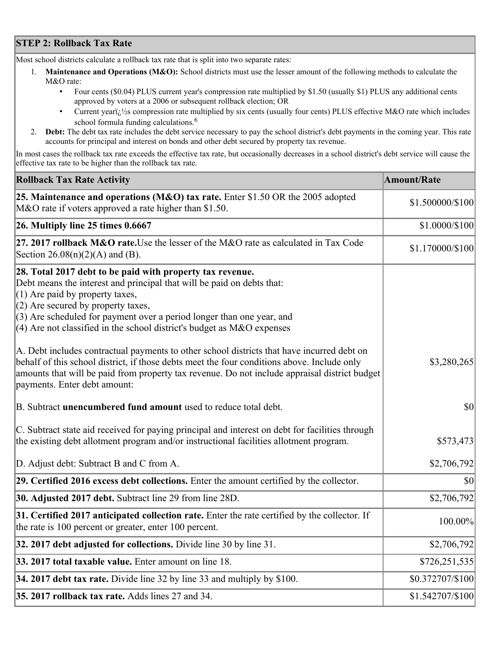## **STEP 2: Rollback Tax Rate**

Most school districts calculate a rollback tax rate that is split into two separate rates:

- 1. **Maintenance and Operations (M&O):** School districts must use the lesser amount of the following methods to calculate the M&O rate:
	- Four cents (\$0.04) PLUS current year's compression rate multiplied by \$1.50 (usually \$1) PLUS any additional cents approved by voters at a 2006 or subsequent rollback election; OR
	- Current year $i/\frac{1}{2}$ s compression rate multiplied by six cents (usually four cents) PLUS effective M&O rate which includes school formula funding calculations.<sup>6</sup>
- 2. **Debt:** The debt tax rate includes the debt service necessary to pay the school district's debt payments in the coming year. This rate accounts for principal and interest on bonds and other debt secured by property tax revenue.

In most cases the rollback tax rate exceeds the effective tax rate, but occasionally decreases in a school district's debt service will cause the effective tax rate to be higher than the rollback tax rate.

| <b>Rollback Tax Rate Activity</b>                                                                                                                                                                                                                                                                                                                                       | <b>Amount/Rate</b> |
|-------------------------------------------------------------------------------------------------------------------------------------------------------------------------------------------------------------------------------------------------------------------------------------------------------------------------------------------------------------------------|--------------------|
| 25. Maintenance and operations (M&O) tax rate. Enter \$1.50 OR the 2005 adopted<br>M&O rate if voters approved a rate higher than \$1.50.                                                                                                                                                                                                                               | \$1.500000/\$100   |
| $26.$ Multiply line 25 times $0.6667$                                                                                                                                                                                                                                                                                                                                   | \$1.0000/\$100     |
| 27. 2017 rollback M&O rate. Use the lesser of the M&O rate as calculated in Tax Code<br>Section 26.08(n)(2)(A) and (B).                                                                                                                                                                                                                                                 | \$1.170000/\$100   |
| 28. Total 2017 debt to be paid with property tax revenue.<br>Debt means the interest and principal that will be paid on debts that:<br>$(1)$ Are paid by property taxes,<br>$(2)$ Are secured by property taxes,<br>$(3)$ Are scheduled for payment over a period longer than one year, and<br>$(4)$ Are not classified in the school district's budget as M&O expenses |                    |
| A. Debt includes contractual payments to other school districts that have incurred debt on<br>behalf of this school district, if those debts meet the four conditions above. Include only<br>amounts that will be paid from property tax revenue. Do not include appraisal district budget<br>payments. Enter debt amount:                                              | \$3,280,265        |
| B. Subtract unencumbered fund amount used to reduce total debt.                                                                                                                                                                                                                                                                                                         | $ 10\rangle$       |
| C. Subtract state aid received for paying principal and interest on debt for facilities through<br>the existing debt allotment program and/or instructional facilities allotment program.                                                                                                                                                                               | \$573,473          |
| D. Adjust debt: Subtract B and C from A.                                                                                                                                                                                                                                                                                                                                | \$2,706,792        |
| 29. Certified 2016 excess debt collections. Enter the amount certified by the collector.                                                                                                                                                                                                                                                                                | \$0                |
| <b>30. Adjusted 2017 debt.</b> Subtract line 29 from line 28D.                                                                                                                                                                                                                                                                                                          | \$2,706,792        |
| 31. Certified 2017 anticipated collection rate. Enter the rate certified by the collector. If<br>the rate is 100 percent or greater, enter 100 percent.                                                                                                                                                                                                                 | $100.00\%$         |
| 32. 2017 debt adjusted for collections. Divide line 30 by line 31.                                                                                                                                                                                                                                                                                                      | \$2,706,792        |
| 33. 2017 total taxable value. Enter amount on line 18.                                                                                                                                                                                                                                                                                                                  | \$726,251,535      |
| 34. 2017 debt tax rate. Divide line 32 by line 33 and multiply by $$100$ .                                                                                                                                                                                                                                                                                              | \$0.372707/\$100   |
| 35. 2017 rollback tax rate. Adds lines 27 and 34.                                                                                                                                                                                                                                                                                                                       | \$1.542707/\$100   |